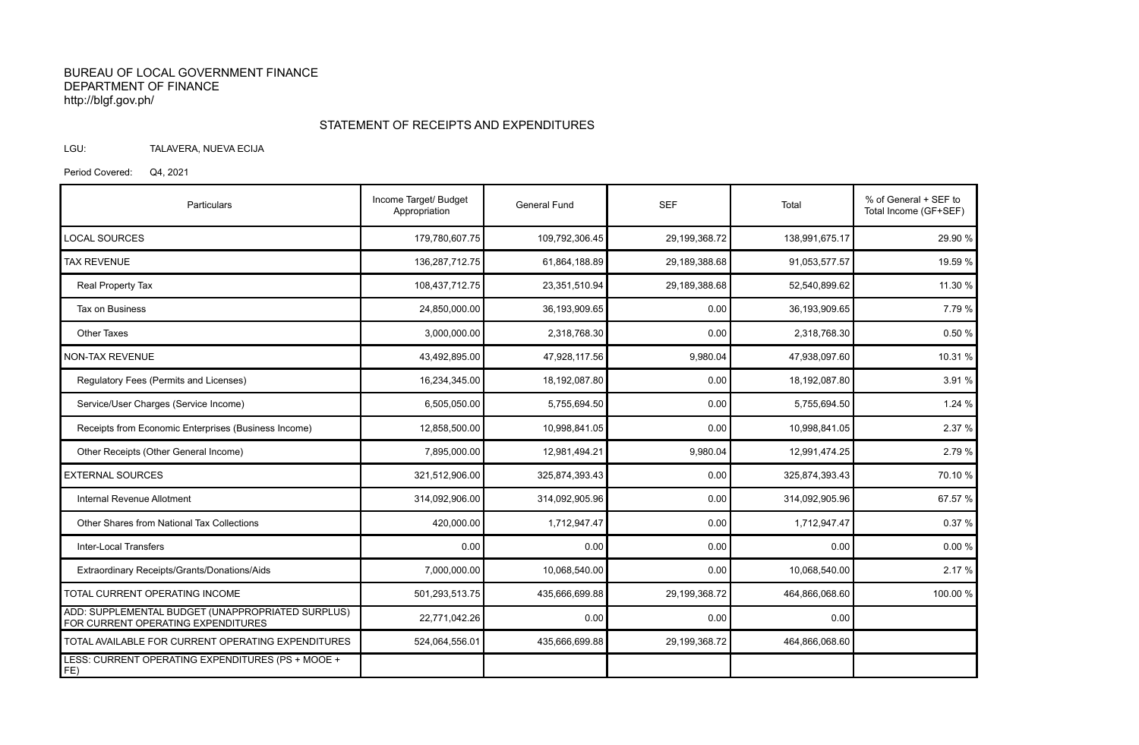## BUREAU OF LOCAL GOVERNMENT FINANCE DEPARTMENT OF FINANCE http://blgf.gov.ph/

## STATEMENT OF RECEIPTS AND EXPENDITURES

LGU: TALAVERA, NUEVA ECIJA

Period Covered: Q4, 2021

| Particulars                                                                             | Income Target/ Budget<br>Appropriation | <b>General Fund</b> | <b>SEF</b>    | Total          | % of General + SEF to<br>Total Income (GF+SEF) |
|-----------------------------------------------------------------------------------------|----------------------------------------|---------------------|---------------|----------------|------------------------------------------------|
| <b>LOCAL SOURCES</b>                                                                    | 179,780,607.75                         | 109,792,306.45      | 29,199,368.72 | 138,991,675.17 | 29.90 %                                        |
| <b>TAX REVENUE</b>                                                                      | 136,287,712.75                         | 61,864,188.89       | 29,189,388.68 | 91,053,577.57  | 19.59 %                                        |
| Real Property Tax                                                                       | 108,437,712.75                         | 23,351,510.94       | 29,189,388.68 | 52,540,899.62  | 11.30 %                                        |
| Tax on Business                                                                         | 24,850,000.00                          | 36,193,909.65       | 0.00          | 36,193,909.65  | 7.79 %                                         |
| <b>Other Taxes</b>                                                                      | 3,000,000.00                           | 2,318,768.30        | 0.00          | 2,318,768.30   | 0.50 %                                         |
| <b>NON-TAX REVENUE</b>                                                                  | 43,492,895.00                          | 47,928,117.56       | 9,980.04      | 47,938,097.60  | 10.31 %                                        |
| Regulatory Fees (Permits and Licenses)                                                  | 16,234,345.00                          | 18,192,087.80       | 0.00          | 18,192,087.80  | 3.91 %                                         |
| Service/User Charges (Service Income)                                                   | 6,505,050.00                           | 5,755,694.50        | 0.00          | 5,755,694.50   | 1.24 %                                         |
| Receipts from Economic Enterprises (Business Income)                                    | 12,858,500.00                          | 10,998,841.05       | 0.00          | 10,998,841.05  | 2.37 %                                         |
| Other Receipts (Other General Income)                                                   | 7,895,000.00                           | 12,981,494.21       | 9,980.04      | 12,991,474.25  | 2.79 %                                         |
| <b>EXTERNAL SOURCES</b>                                                                 | 321,512,906.00                         | 325,874,393.43      | 0.00          | 325,874,393.43 | 70.10 %                                        |
| Internal Revenue Allotment                                                              | 314,092,906.00                         | 314,092,905.96      | 0.00          | 314,092,905.96 | 67.57 %                                        |
| Other Shares from National Tax Collections                                              | 420,000.00                             | 1,712,947.47        | 0.00          | 1,712,947.47   | 0.37%                                          |
| <b>Inter-Local Transfers</b>                                                            | 0.00                                   | 0.00                | 0.00          | 0.00           | 0.00%                                          |
| Extraordinary Receipts/Grants/Donations/Aids                                            | 7,000,000.00                           | 10,068,540.00       | 0.00          | 10,068,540.00  | 2.17 %                                         |
| TOTAL CURRENT OPERATING INCOME                                                          | 501,293,513.75                         | 435,666,699.88      | 29,199,368.72 | 464,866,068.60 | 100.00 %                                       |
| ADD: SUPPLEMENTAL BUDGET (UNAPPROPRIATED SURPLUS)<br>FOR CURRENT OPERATING EXPENDITURES | 22,771,042.26                          | 0.00                | 0.00          | 0.00           |                                                |
| TOTAL AVAILABLE FOR CURRENT OPERATING EXPENDITURES                                      | 524,064,556.01                         | 435,666,699.88      | 29,199,368.72 | 464,866,068.60 |                                                |
| LESS: CURRENT OPERATING EXPENDITURES (PS + MOOE +<br>FE)                                |                                        |                     |               |                |                                                |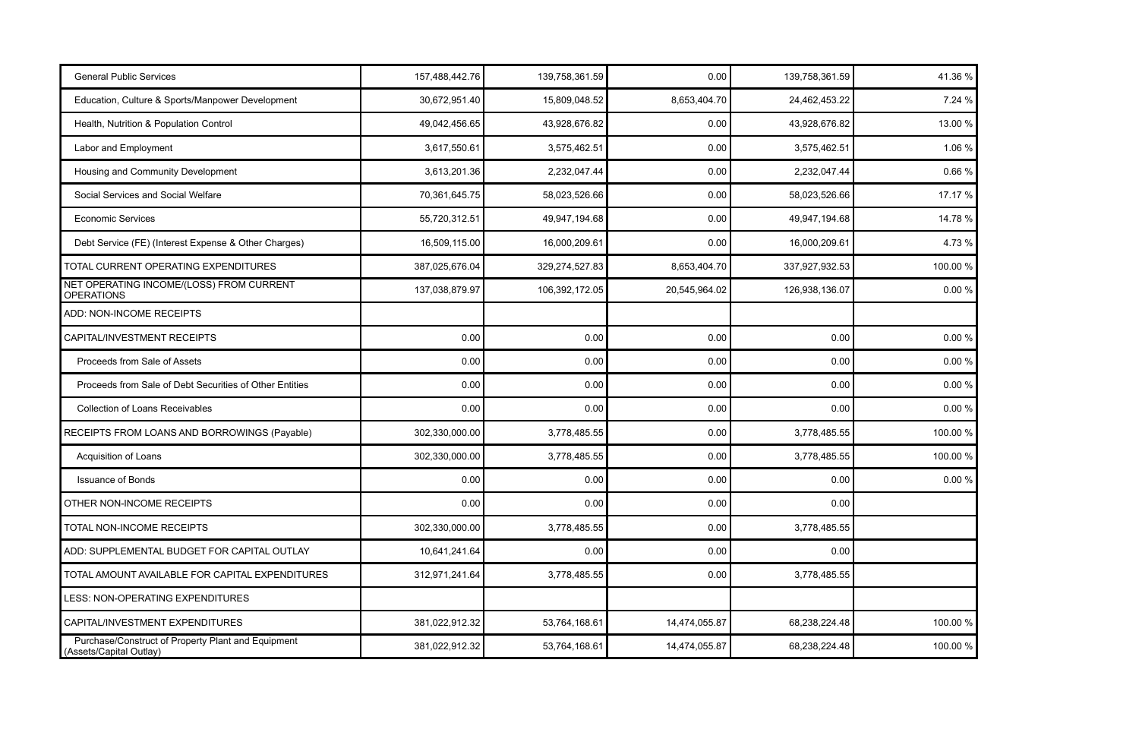| <b>General Public Services</b>                                                | 157,488,442.76 | 139,758,361.59 | 0.00          | 139,758,361.59 | 41.36 %   |
|-------------------------------------------------------------------------------|----------------|----------------|---------------|----------------|-----------|
| Education, Culture & Sports/Manpower Development                              | 30,672,951.40  | 15,809,048.52  | 8,653,404.70  | 24,462,453.22  | 7.24 %    |
| Health, Nutrition & Population Control                                        | 49,042,456.65  | 43,928,676.82  | 0.00          | 43,928,676.82  | 13.00 %   |
| Labor and Employment                                                          | 3,617,550.61   | 3,575,462.51   | 0.00          | 3,575,462.51   | 1.06 %    |
| Housing and Community Development                                             | 3,613,201.36   | 2,232,047.44   | 0.00          | 2,232,047.44   | 0.66%     |
| Social Services and Social Welfare                                            | 70,361,645.75  | 58,023,526.66  | 0.00          | 58,023,526.66  | 17.17 %   |
| <b>Economic Services</b>                                                      | 55,720,312.51  | 49,947,194.68  | 0.00          | 49,947,194.68  | 14.78 %   |
| Debt Service (FE) (Interest Expense & Other Charges)                          | 16,509,115.00  | 16,000,209.61  | 0.00          | 16,000,209.61  | 4.73 %    |
| TOTAL CURRENT OPERATING EXPENDITURES                                          | 387,025,676.04 | 329,274,527.83 | 8,653,404.70  | 337,927,932.53 | 100.00 %  |
| NET OPERATING INCOME/(LOSS) FROM CURRENT<br><b>OPERATIONS</b>                 | 137,038,879.97 | 106,392,172.05 | 20,545,964.02 | 126,938,136.07 | 0.00%     |
| ADD: NON-INCOME RECEIPTS                                                      |                |                |               |                |           |
| CAPITAL/INVESTMENT RECEIPTS                                                   | 0.00           | 0.00           | 0.00          | 0.00           | 0.00%     |
| Proceeds from Sale of Assets                                                  | 0.00           | 0.00           | 0.00          | 0.00           | 0.00%     |
| Proceeds from Sale of Debt Securities of Other Entities                       | 0.00           | 0.00           | 0.00          | 0.00           | 0.00%     |
| <b>Collection of Loans Receivables</b>                                        | 0.00           | 0.00           | 0.00          | 0.00           | $0.00 \%$ |
| RECEIPTS FROM LOANS AND BORROWINGS (Payable)                                  | 302,330,000.00 | 3,778,485.55   | 0.00          | 3,778,485.55   | 100.00 %  |
| Acquisition of Loans                                                          | 302,330,000.00 | 3,778,485.55   | 0.00          | 3,778,485.55   | 100.00 %  |
| <b>Issuance of Bonds</b>                                                      | 0.00           | 0.00           | 0.00          | 0.00           | $0.00 \%$ |
| OTHER NON-INCOME RECEIPTS                                                     | 0.00           | 0.00           | 0.00          | 0.00           |           |
| TOTAL NON-INCOME RECEIPTS                                                     | 302,330,000.00 | 3,778,485.55   | 0.00          | 3,778,485.55   |           |
| ADD: SUPPLEMENTAL BUDGET FOR CAPITAL OUTLAY                                   | 10,641,241.64  | 0.00           | 0.00          | 0.00           |           |
| TOTAL AMOUNT AVAILABLE FOR CAPITAL EXPENDITURES                               | 312,971,241.64 | 3,778,485.55   | 0.00          | 3,778,485.55   |           |
| LESS: NON-OPERATING EXPENDITURES                                              |                |                |               |                |           |
| CAPITAL/INVESTMENT EXPENDITURES                                               | 381,022,912.32 | 53,764,168.61  | 14,474,055.87 | 68,238,224.48  | 100.00 %  |
| Purchase/Construct of Property Plant and Equipment<br>(Assets/Capital Outlay) | 381,022,912.32 | 53,764,168.61  | 14,474,055.87 | 68,238,224.48  | 100.00 %  |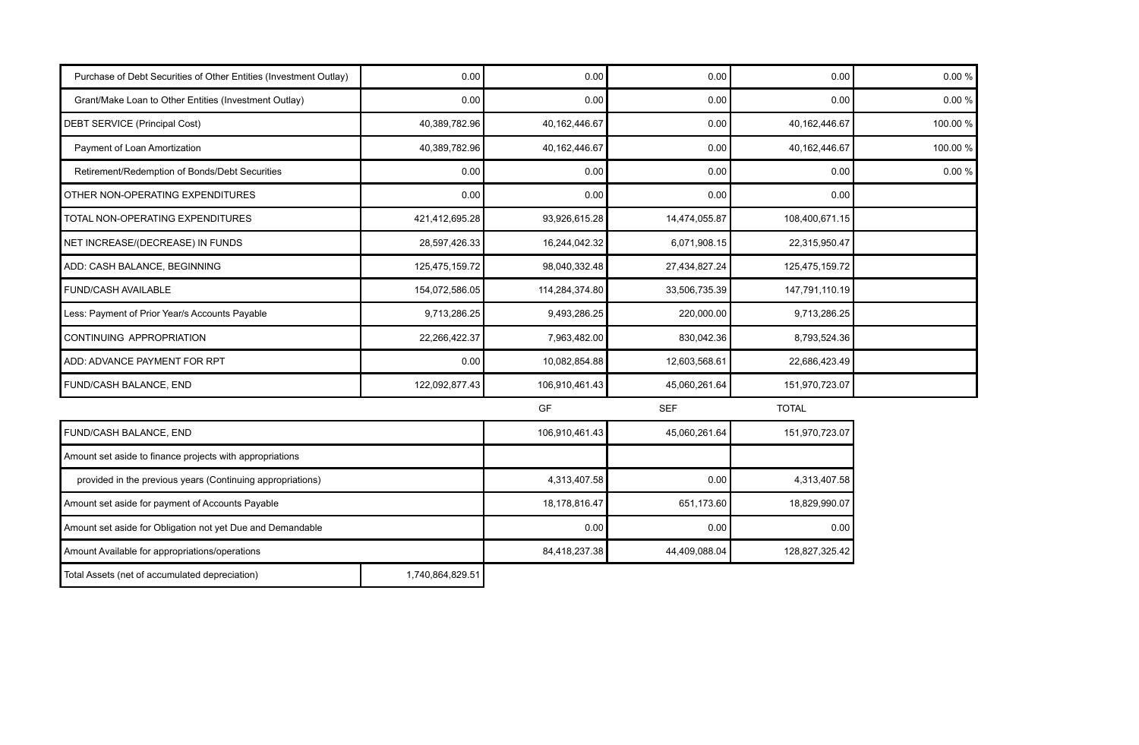| Purchase of Debt Securities of Other Entities (Investment Outlay) | 0.00             | 0.00            | 0.00          | 0.00            | 0.00%    |
|-------------------------------------------------------------------|------------------|-----------------|---------------|-----------------|----------|
| Grant/Make Loan to Other Entities (Investment Outlay)             | 0.00             | 0.00            | 0.00          | 0.00            | 0.00%    |
| <b>DEBT SERVICE (Principal Cost)</b>                              | 40,389,782.96    | 40,162,446.67   | 0.00          | 40, 162, 446.67 | 100.00 % |
| Payment of Loan Amortization                                      | 40,389,782.96    | 40, 162, 446.67 | 0.00          | 40,162,446.67   | 100.00 % |
| Retirement/Redemption of Bonds/Debt Securities                    | 0.00             | 0.00            | 0.00          | 0.00            | 0.00%    |
| OTHER NON-OPERATING EXPENDITURES                                  | 0.00             | 0.00            | 0.00          | 0.00            |          |
| TOTAL NON-OPERATING EXPENDITURES                                  | 421,412,695.28   | 93,926,615.28   | 14,474,055.87 | 108,400,671.15  |          |
| NET INCREASE/(DECREASE) IN FUNDS                                  | 28,597,426.33    | 16,244,042.32   | 6,071,908.15  | 22,315,950.47   |          |
| ADD: CASH BALANCE, BEGINNING                                      | 125,475,159.72   | 98,040,332.48   | 27,434,827.24 | 125,475,159.72  |          |
| <b>FUND/CASH AVAILABLE</b>                                        | 154,072,586.05   | 114,284,374.80  | 33,506,735.39 | 147,791,110.19  |          |
| Less: Payment of Prior Year/s Accounts Payable                    | 9,713,286.25     | 9,493,286.25    | 220,000.00    | 9,713,286.25    |          |
| CONTINUING APPROPRIATION                                          | 22,266,422.37    | 7,963,482.00    | 830,042.36    | 8,793,524.36    |          |
| ADD: ADVANCE PAYMENT FOR RPT                                      | 0.00             | 10,082,854.88   | 12,603,568.61 | 22,686,423.49   |          |
| FUND/CASH BALANCE, END                                            | 122,092,877.43   | 106,910,461.43  | 45,060,261.64 | 151,970,723.07  |          |
|                                                                   |                  | GF              | <b>SEF</b>    | <b>TOTAL</b>    |          |
| FUND/CASH BALANCE, END                                            |                  | 106,910,461.43  | 45,060,261.64 | 151,970,723.07  |          |
| Amount set aside to finance projects with appropriations          |                  |                 |               |                 |          |
| provided in the previous years (Continuing appropriations)        |                  | 4,313,407.58    | 0.00          | 4,313,407.58    |          |
| Amount set aside for payment of Accounts Payable                  |                  | 18,178,816.47   | 651,173.60    | 18,829,990.07   |          |
| Amount set aside for Obligation not yet Due and Demandable        |                  | 0.00            | 0.00          | 0.00            |          |
| Amount Available for appropriations/operations                    |                  | 84,418,237.38   | 44,409,088.04 | 128,827,325.42  |          |
| Total Assets (net of accumulated depreciation)                    | 1,740,864,829.51 |                 |               |                 |          |